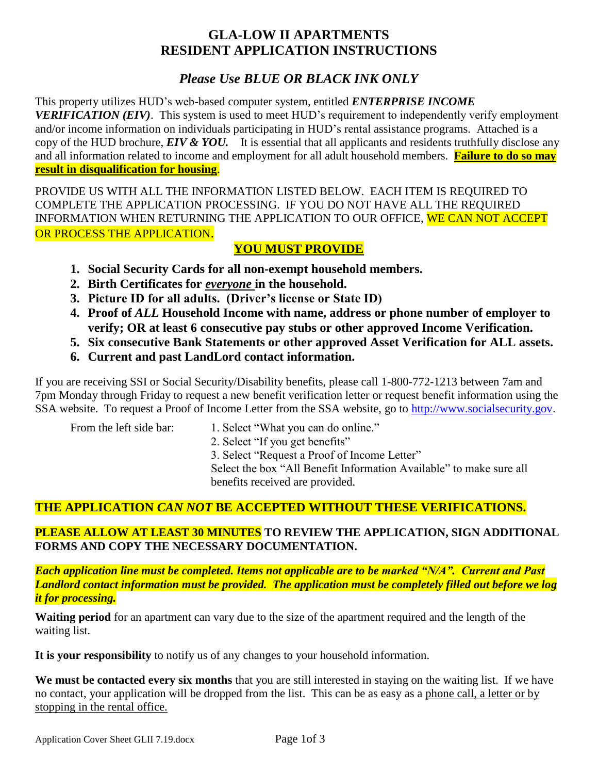# **GLA-LOW II APARTMENTS RESIDENT APPLICATION INSTRUCTIONS**

# *Please Use BLUE OR BLACK INK ONLY*

This property utilizes HUD's web-based computer system, entitled *ENTERPRISE INCOME VERIFICATION (EIV)*. This system is used to meet HUD's requirement to independently verify employment and/or income information on individuals participating in HUD's rental assistance programs. Attached is a copy of the HUD brochure, *EIV & YOU.* It is essential that all applicants and residents truthfully disclose any and all information related to income and employment for all adult household members. **Failure to do so may result in disqualification for housing**.

PROVIDE US WITH ALL THE INFORMATION LISTED BELOW. EACH ITEM IS REQUIRED TO COMPLETE THE APPLICATION PROCESSING. IF YOU DO NOT HAVE ALL THE REQUIRED INFORMATION WHEN RETURNING THE APPLICATION TO OUR OFFICE, WE CAN NOT ACCEPT OR PROCESS THE APPLICATION.

## **YOU MUST PROVIDE**

- **1. Social Security Cards for all non-exempt household members.**
- **2. Birth Certificates for** *everyone* **in the household.**
- **3. Picture ID for all adults. (Driver's license or State ID)**
- **4. Proof of** *ALL* **Household Income with name, address or phone number of employer to verify; OR at least 6 consecutive pay stubs or other approved Income Verification.**
- **5. Six consecutive Bank Statements or other approved Asset Verification for ALL assets.**
- **6. Current and past LandLord contact information.**

If you are receiving SSI or Social Security/Disability benefits, please call 1-800-772-1213 between 7am and 7pm Monday through Friday to request a new benefit verification letter or request benefit information using the SSA website. To request a Proof of Income Letter from the SSA website, go to [http://www.socialsecurity.gov.](http://www.socialsecurity.gov/)

- From the left side bar: 1. Select "What you can do online."
	- 2. Select "If you get benefits"

3. Select "Request a Proof of Income Letter"

Select the box "All Benefit Information Available" to make sure all benefits received are provided.

# **THE APPLICATION** *CAN NOT* **BE ACCEPTED WITHOUT THESE VERIFICATIONS.**

## **PLEASE ALLOW AT LEAST 30 MINUTES TO REVIEW THE APPLICATION, SIGN ADDITIONAL FORMS AND COPY THE NECESSARY DOCUMENTATION.**

*Each application line must be completed. Items not applicable are to be marked "N/A". Current and Past Landlord contact information must be provided. The application must be completely filled out before we log it for processing.*

**Waiting period** for an apartment can vary due to the size of the apartment required and the length of the waiting list.

**It is your responsibility** to notify us of any changes to your household information.

**We must be contacted every six months** that you are still interested in staying on the waiting list. If we have no contact, your application will be dropped from the list. This can be as easy as a phone call, a letter or by stopping in the rental office.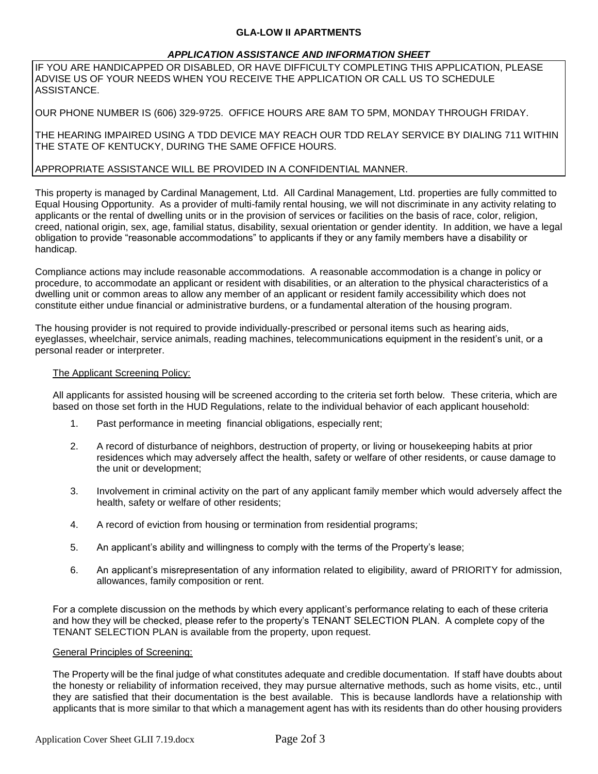#### **GLA-LOW II APARTMENTS**

#### *APPLICATION ASSISTANCE AND INFORMATION SHEET*

IF YOU ARE HANDICAPPED OR DISABLED, OR HAVE DIFFICULTY COMPLETING THIS APPLICATION, PLEASE ADVISE US OF YOUR NEEDS WHEN YOU RECEIVE THE APPLICATION OR CALL US TO SCHEDULE ASSISTANCE.

OUR PHONE NUMBER IS (606) 329-9725. OFFICE HOURS ARE 8AM TO 5PM, MONDAY THROUGH FRIDAY.

THE HEARING IMPAIRED USING A TDD DEVICE MAY REACH OUR TDD RELAY SERVICE BY DIALING 711 WITHIN THE STATE OF KENTUCKY, DURING THE SAME OFFICE HOURS.

#### APPROPRIATE ASSISTANCE WILL BE PROVIDED IN A CONFIDENTIAL MANNER.

This property is managed by Cardinal Management, Ltd. All Cardinal Management, Ltd. properties are fully committed to Equal Housing Opportunity. As a provider of multi-family rental housing, we will not discriminate in any activity relating to applicants or the rental of dwelling units or in the provision of services or facilities on the basis of race, color, religion, creed, national origin, sex, age, familial status, disability, sexual orientation or gender identity. In addition, we have a legal obligation to provide "reasonable accommodations" to applicants if they or any family members have a disability or handicap.

Compliance actions may include reasonable accommodations. A reasonable accommodation is a change in policy or procedure, to accommodate an applicant or resident with disabilities, or an alteration to the physical characteristics of a dwelling unit or common areas to allow any member of an applicant or resident family accessibility which does not constitute either undue financial or administrative burdens, or a fundamental alteration of the housing program.

The housing provider is not required to provide individually-prescribed or personal items such as hearing aids, eyeglasses, wheelchair, service animals, reading machines, telecommunications equipment in the resident's unit, or a personal reader or interpreter.

#### The Applicant Screening Policy:

All applicants for assisted housing will be screened according to the criteria set forth below. These criteria, which are based on those set forth in the HUD Regulations, relate to the individual behavior of each applicant household:

- 1. Past performance in meeting financial obligations, especially rent;
- 2. A record of disturbance of neighbors, destruction of property, or living or housekeeping habits at prior residences which may adversely affect the health, safety or welfare of other residents, or cause damage to the unit or development;
- 3. Involvement in criminal activity on the part of any applicant family member which would adversely affect the health, safety or welfare of other residents;
- 4. A record of eviction from housing or termination from residential programs;
- 5. An applicant's ability and willingness to comply with the terms of the Property's lease;
- 6. An applicant's misrepresentation of any information related to eligibility, award of PRIORITY for admission, allowances, family composition or rent.

For a complete discussion on the methods by which every applicant's performance relating to each of these criteria and how they will be checked, please refer to the property's TENANT SELECTION PLAN. A complete copy of the TENANT SELECTION PLAN is available from the property, upon request.

#### General Principles of Screening:

The Property will be the final judge of what constitutes adequate and credible documentation. If staff have doubts about the honesty or reliability of information received, they may pursue alternative methods, such as home visits, etc., until they are satisfied that their documentation is the best available. This is because landlords have a relationship with applicants that is more similar to that which a management agent has with its residents than do other housing providers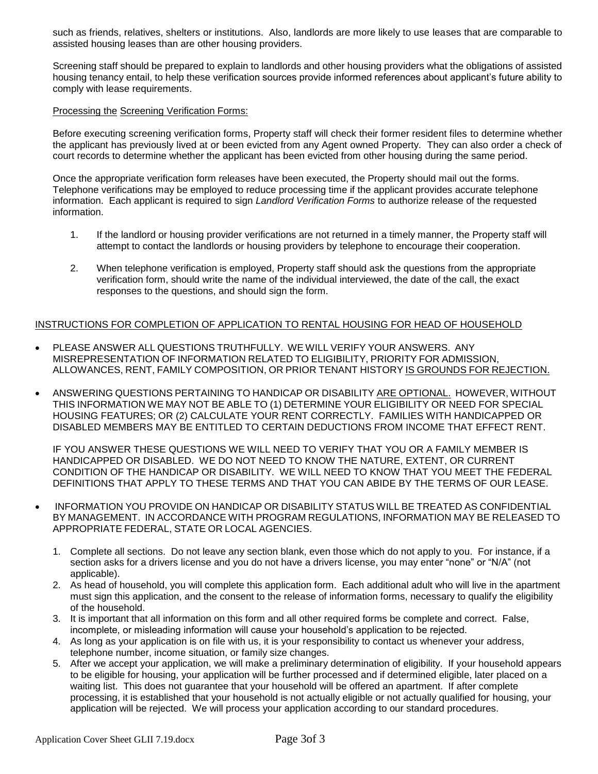such as friends, relatives, shelters or institutions. Also, landlords are more likely to use leases that are comparable to assisted housing leases than are other housing providers.

Screening staff should be prepared to explain to landlords and other housing providers what the obligations of assisted housing tenancy entail, to help these verification sources provide informed references about applicant's future ability to comply with lease requirements.

#### Processing the Screening Verification Forms:

Before executing screening verification forms, Property staff will check their former resident files to determine whether the applicant has previously lived at or been evicted from any Agent owned Property. They can also order a check of court records to determine whether the applicant has been evicted from other housing during the same period.

Once the appropriate verification form releases have been executed, the Property should mail out the forms. Telephone verifications may be employed to reduce processing time if the applicant provides accurate telephone information. Each applicant is required to sign *Landlord Verification Forms* to authorize release of the requested information.

- 1. If the landlord or housing provider verifications are not returned in a timely manner, the Property staff will attempt to contact the landlords or housing providers by telephone to encourage their cooperation.
- 2. When telephone verification is employed, Property staff should ask the questions from the appropriate verification form, should write the name of the individual interviewed, the date of the call, the exact responses to the questions, and should sign the form.

#### INSTRUCTIONS FOR COMPLETION OF APPLICATION TO RENTAL HOUSING FOR HEAD OF HOUSEHOLD

- PLEASE ANSWER ALL QUESTIONS TRUTHFULLY. WE WILL VERIFY YOUR ANSWERS. ANY MISREPRESENTATION OF INFORMATION RELATED TO ELIGIBILITY, PRIORITY FOR ADMISSION, ALLOWANCES, RENT, FAMILY COMPOSITION, OR PRIOR TENANT HISTORY IS GROUNDS FOR REJECTION.
- ANSWERING QUESTIONS PERTAINING TO HANDICAP OR DISABILITY ARE OPTIONAL. HOWEVER, WITHOUT THIS INFORMATION WE MAY NOT BE ABLE TO (1) DETERMINE YOUR ELIGIBILITY OR NEED FOR SPECIAL HOUSING FEATURES; OR (2) CALCULATE YOUR RENT CORRECTLY. FAMILIES WITH HANDICAPPED OR DISABLED MEMBERS MAY BE ENTITLED TO CERTAIN DEDUCTIONS FROM INCOME THAT EFFECT RENT.

IF YOU ANSWER THESE QUESTIONS WE WILL NEED TO VERIFY THAT YOU OR A FAMILY MEMBER IS HANDICAPPED OR DISABLED. WE DO NOT NEED TO KNOW THE NATURE, EXTENT, OR CURRENT CONDITION OF THE HANDICAP OR DISABILITY. WE WILL NEED TO KNOW THAT YOU MEET THE FEDERAL DEFINITIONS THAT APPLY TO THESE TERMS AND THAT YOU CAN ABIDE BY THE TERMS OF OUR LEASE.

- INFORMATION YOU PROVIDE ON HANDICAP OR DISABILITY STATUS WILL BE TREATED AS CONFIDENTIAL BY MANAGEMENT. IN ACCORDANCE WITH PROGRAM REGULATIONS, INFORMATION MAY BE RELEASED TO APPROPRIATE FEDERAL, STATE OR LOCAL AGENCIES.
	- 1. Complete all sections. Do not leave any section blank, even those which do not apply to you. For instance, if a section asks for a drivers license and you do not have a drivers license, you may enter "none" or "N/A" (not applicable).
	- 2. As head of household, you will complete this application form. Each additional adult who will live in the apartment must sign this application, and the consent to the release of information forms, necessary to qualify the eligibility of the household.
	- 3. It is important that all information on this form and all other required forms be complete and correct. False, incomplete, or misleading information will cause your household's application to be rejected.
	- 4. As long as your application is on file with us, it is your responsibility to contact us whenever your address, telephone number, income situation, or family size changes.
	- 5. After we accept your application, we will make a preliminary determination of eligibility. If your household appears to be eligible for housing, your application will be further processed and if determined eligible, later placed on a waiting list. This does not guarantee that your household will be offered an apartment. If after complete processing, it is established that your household is not actually eligible or not actually qualified for housing, your application will be rejected. We will process your application according to our standard procedures.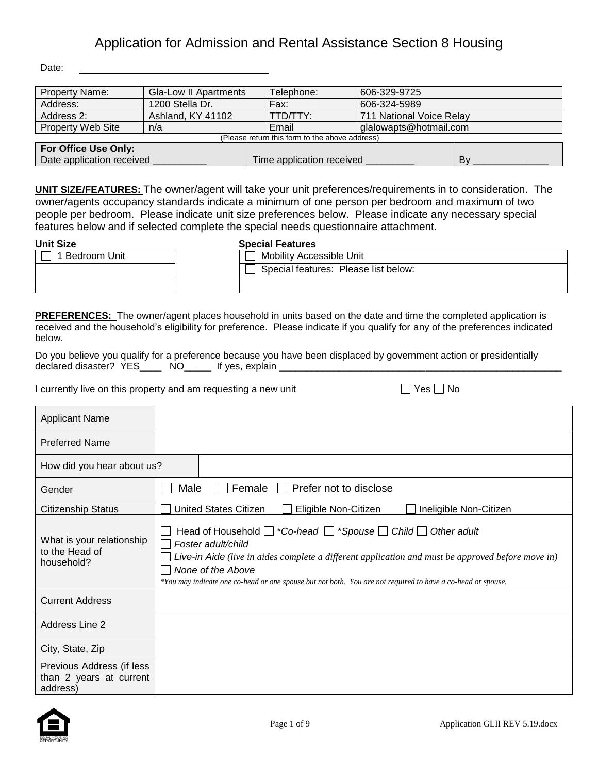Date:

| <b>Property Name:</b>     | <b>Gla-Low II Apartments</b>                   | Telephone:                | 606-329-9725             |    |  |  |
|---------------------------|------------------------------------------------|---------------------------|--------------------------|----|--|--|
| Address:                  | 1200 Stella Dr.                                | Fax:                      | 606-324-5989             |    |  |  |
| Address 2:                | Ashland, KY 41102                              | TTD/TTY:                  | 711 National Voice Relay |    |  |  |
| <b>Property Web Site</b>  | n/a                                            | Email                     | glalowapts@hotmail.com   |    |  |  |
|                           | (Please return this form to the above address) |                           |                          |    |  |  |
| For Office Use Only:      |                                                |                           |                          |    |  |  |
| Date application received |                                                | Time application received |                          | Bv |  |  |

**UNIT SIZE/FEATURES:** The owner/agent will take your unit preferences/requirements in to consideration. The owner/agents occupancy standards indicate a minimum of one person per bedroom and maximum of two people per bedroom. Please indicate unit size preferences below. Please indicate any necessary special features below and if selected complete the special needs questionnaire attachment.

|                | <u> 88981 - 88981 - 88</u>      |
|----------------|---------------------------------|
| 1 Bedroom Unit | <b>Mobility Accessible Unit</b> |
|                | Special features: Pleas         |
|                |                                 |

### **Unit Size Special Features**

| iculai Fealuito                      |
|--------------------------------------|
| △ Mobility Accessible Unit           |
| Special features: Please list below: |
|                                      |

**PREFERENCES:** The owner/agent places household in units based on the date and time the completed application is received and the household's eligibility for preference. Please indicate if you qualify for any of the preferences indicated below.

Do you believe you qualify for a preference because you have been displaced by government action or presidentially declared disaster? YES\_\_\_\_\_\_\_ NO\_\_\_\_\_\_\_\_ If yes, explain \_\_

I currently live on this property and am requesting a new unit  $\Box$  Yes  $\Box$  No

| Applicant Name                                                   |                                                                                                                                                                                                                                                                                                                                                 |
|------------------------------------------------------------------|-------------------------------------------------------------------------------------------------------------------------------------------------------------------------------------------------------------------------------------------------------------------------------------------------------------------------------------------------|
| <b>Preferred Name</b>                                            |                                                                                                                                                                                                                                                                                                                                                 |
| How did you hear about us?                                       |                                                                                                                                                                                                                                                                                                                                                 |
| Gender                                                           | Female $\Box$<br>Prefer not to disclose<br>Male                                                                                                                                                                                                                                                                                                 |
| <b>Citizenship Status</b>                                        | <b>United States Citizen</b><br>Eligible Non-Citizen<br>Ineligible Non-Citizen                                                                                                                                                                                                                                                                  |
| What is your relationship<br>to the Head of<br>household?        | Head of Household $\Box$ *Co-head $\Box$ *Spouse $\Box$ Child $\Box$ Other adult<br>Foster adult/child<br>Live-in Aide (live in aides complete a different application and must be approved before move in)<br>None of the Above<br>*You may indicate one co-head or one spouse but not both. You are not required to have a co-head or spouse. |
| <b>Current Address</b>                                           |                                                                                                                                                                                                                                                                                                                                                 |
| Address Line 2                                                   |                                                                                                                                                                                                                                                                                                                                                 |
| City, State, Zip                                                 |                                                                                                                                                                                                                                                                                                                                                 |
| Previous Address (if less<br>than 2 years at current<br>address) |                                                                                                                                                                                                                                                                                                                                                 |

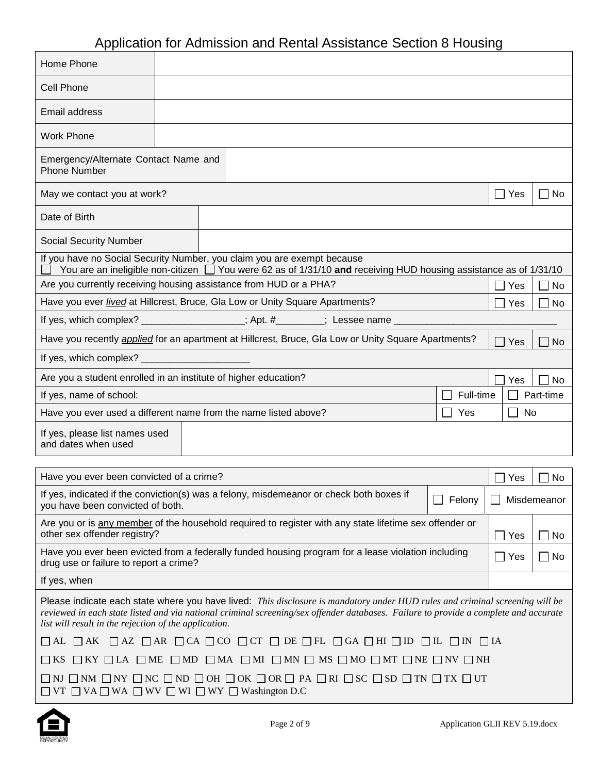| Home Phone                                                                                                                                                                                                                                                                                                                    |  |  |  |                                                                                                                  |  |           |            |             |
|-------------------------------------------------------------------------------------------------------------------------------------------------------------------------------------------------------------------------------------------------------------------------------------------------------------------------------|--|--|--|------------------------------------------------------------------------------------------------------------------|--|-----------|------------|-------------|
| <b>Cell Phone</b>                                                                                                                                                                                                                                                                                                             |  |  |  |                                                                                                                  |  |           |            |             |
| Email address                                                                                                                                                                                                                                                                                                                 |  |  |  |                                                                                                                  |  |           |            |             |
| <b>Work Phone</b>                                                                                                                                                                                                                                                                                                             |  |  |  |                                                                                                                  |  |           |            |             |
| Emergency/Alternate Contact Name and<br><b>Phone Number</b>                                                                                                                                                                                                                                                                   |  |  |  |                                                                                                                  |  |           |            |             |
| May we contact you at work?                                                                                                                                                                                                                                                                                                   |  |  |  |                                                                                                                  |  |           | $\Box$ Yes | $\Box$ No   |
| Date of Birth                                                                                                                                                                                                                                                                                                                 |  |  |  |                                                                                                                  |  |           |            |             |
| <b>Social Security Number</b>                                                                                                                                                                                                                                                                                                 |  |  |  |                                                                                                                  |  |           |            |             |
| If you have no Social Security Number, you claim you are exempt because                                                                                                                                                                                                                                                       |  |  |  | You are an ineligible non-citizen □ You were 62 as of 1/31/10 and receiving HUD housing assistance as of 1/31/10 |  |           |            |             |
| Are you currently receiving housing assistance from HUD or a PHA?                                                                                                                                                                                                                                                             |  |  |  |                                                                                                                  |  |           | Yes        | $\Box$ No   |
| Have you ever <i>lived</i> at Hillcrest, Bruce, Gla Low or Unity Square Apartments?                                                                                                                                                                                                                                           |  |  |  |                                                                                                                  |  |           | Yes        | No          |
| If yes, which complex? ________________; Apt. #_______; Lessee name __________                                                                                                                                                                                                                                                |  |  |  |                                                                                                                  |  |           |            |             |
| Have you recently <i>applied</i> for an apartment at Hillcrest, Bruce, Gla Low or Unity Square Apartments?                                                                                                                                                                                                                    |  |  |  |                                                                                                                  |  |           | Yes        | No          |
| If yes, which complex? ________                                                                                                                                                                                                                                                                                               |  |  |  |                                                                                                                  |  |           |            |             |
| Are you a student enrolled in an institute of higher education?                                                                                                                                                                                                                                                               |  |  |  |                                                                                                                  |  |           | Yes        | No          |
| If yes, name of school:                                                                                                                                                                                                                                                                                                       |  |  |  |                                                                                                                  |  | Full-time |            | Part-time   |
| Have you ever used a different name from the name listed above?                                                                                                                                                                                                                                                               |  |  |  |                                                                                                                  |  | Yes       | No         |             |
| If yes, please list names used<br>and dates when used                                                                                                                                                                                                                                                                         |  |  |  |                                                                                                                  |  |           |            |             |
| Have you ever been convicted of a crime?                                                                                                                                                                                                                                                                                      |  |  |  |                                                                                                                  |  |           | Yes        | No          |
| If yes, indicated if the conviction(s) was a felony, misdemeanor or check both boxes if<br>you have been convicted of both.                                                                                                                                                                                                   |  |  |  |                                                                                                                  |  | Felony    |            | Misdemeanor |
| Are you or is any member of the household required to register with any state lifetime sex offender or<br>other sex offender registry?                                                                                                                                                                                        |  |  |  |                                                                                                                  |  |           | Yes        | $\Box$ No   |
| Have you ever been evicted from a federally funded housing program for a lease violation including<br>drug use or failure to report a crime?                                                                                                                                                                                  |  |  |  |                                                                                                                  |  |           | $\Box$ Yes | $\Box$ No   |
| If yes, when                                                                                                                                                                                                                                                                                                                  |  |  |  |                                                                                                                  |  |           |            |             |
| Please indicate each state where you have lived: This disclosure is mandatory under HUD rules and criminal screening will be<br>reviewed in each state listed and via national criminal screening/sex offender databases. Failure to provide a complete and accurate<br>list will result in the rejection of the application. |  |  |  |                                                                                                                  |  |           |            |             |
| $\Box$ AL $\Box$ AK $\Box$ AZ $\Box$ AR $\Box$ CA $\Box$ CO $\Box$ CT $\Box$ DE $\Box$ FL $\Box$ GA $\Box$ HI $\Box$ ID $\Box$ IL $\Box$ IN $\Box$ IA                                                                                                                                                                         |  |  |  |                                                                                                                  |  |           |            |             |
| $\square$ KS $\square$ KY $\square$ LA $\square$ ME $\square$ MD $\square$ MA $\square$ MI $\square$ MN $\square$ MS $\square$ MO $\square$ MT $\square$ NE $\square$ NV $\square$ NH                                                                                                                                         |  |  |  |                                                                                                                  |  |           |            |             |
| $\square$ ni $\square$ nm $\square$ ny $\square$ nc $\square$ nd $\square$ oh $\square$ ok $\square$ or $\square$ pa $\square$ ri $\square$ sc $\square$ sd $\square$ tn $\square$ tx $\square$ ut<br>$\Box$ VT $\Box$ VA $\Box$ WA $\Box$ WV $\Box$ WI $\Box$ WY $\Box$ Washington D.C                                       |  |  |  |                                                                                                                  |  |           |            |             |



 $\Gamma$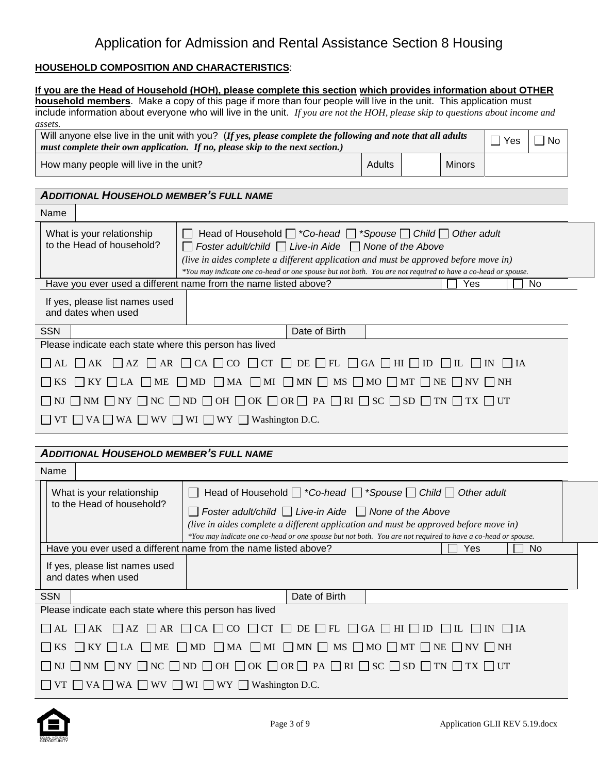### **HOUSEHOLD COMPOSITION AND CHARACTERISTICS**:

|                                                                                                                                                                                                                                                                                                     | If you are the Head of Household (HOH), please complete this section which provides information about OTHER<br>household members. Make a copy of this page if more than four people will live in the unit. This application must                                                                                                                           |  |     |                    |             |  |  |  |
|-----------------------------------------------------------------------------------------------------------------------------------------------------------------------------------------------------------------------------------------------------------------------------------------------------|------------------------------------------------------------------------------------------------------------------------------------------------------------------------------------------------------------------------------------------------------------------------------------------------------------------------------------------------------------|--|-----|--------------------|-------------|--|--|--|
|                                                                                                                                                                                                                                                                                                     | include information about everyone who will live in the unit. If you are not the HOH, please skip to questions about income and                                                                                                                                                                                                                            |  |     |                    |             |  |  |  |
| assets.                                                                                                                                                                                                                                                                                             | Will anyone else live in the unit with you? (If yes, please complete the following and note that all adults                                                                                                                                                                                                                                                |  |     | $\Box$ Yes         | $\sqcap$ No |  |  |  |
|                                                                                                                                                                                                                                                                                                     | must complete their own application. If no, please skip to the next section.)                                                                                                                                                                                                                                                                              |  |     |                    |             |  |  |  |
|                                                                                                                                                                                                                                                                                                     | Adults<br><b>Minors</b><br>How many people will live in the unit?                                                                                                                                                                                                                                                                                          |  |     |                    |             |  |  |  |
| <b>ADDITIONAL HOUSEHOLD MEMBER'S FULL NAME</b>                                                                                                                                                                                                                                                      |                                                                                                                                                                                                                                                                                                                                                            |  |     |                    |             |  |  |  |
| Name                                                                                                                                                                                                                                                                                                |                                                                                                                                                                                                                                                                                                                                                            |  |     |                    |             |  |  |  |
| What is your relationship<br>to the Head of household?                                                                                                                                                                                                                                              | Head of Household $\Box$ *Co-head $\Box$ *Spouse $\Box$ Child $\Box$ Other adult<br>Foster adult/child $\Box$ Live-in Aide $\Box$ None of the Above<br>(live in aides complete a different application and must be approved before move in)<br>*You may indicate one co-head or one spouse but not both. You are not required to have a co-head or spouse. |  |     |                    |             |  |  |  |
|                                                                                                                                                                                                                                                                                                     | Have you ever used a different name from the name listed above?                                                                                                                                                                                                                                                                                            |  | Yes |                    | No          |  |  |  |
| If yes, please list names used<br>and dates when used                                                                                                                                                                                                                                               |                                                                                                                                                                                                                                                                                                                                                            |  |     |                    |             |  |  |  |
| <b>SSN</b>                                                                                                                                                                                                                                                                                          | Date of Birth                                                                                                                                                                                                                                                                                                                                              |  |     |                    |             |  |  |  |
| Please indicate each state where this person has lived                                                                                                                                                                                                                                              |                                                                                                                                                                                                                                                                                                                                                            |  |     |                    |             |  |  |  |
| $\overline{\phantom{a}}$ AL                                                                                                                                                                                                                                                                         | $\Box$ AK $\Box$ AZ $\Box$ AR $\Box$ CA $\Box$ CO $\Box$ CT $\Box$ DE $\Box$ FL $\Box$ GA $\Box$ HI $\Box$ ID $\Box$ IL $\Box$ IN $\Box$ IA                                                                                                                                                                                                                |  |     |                    |             |  |  |  |
| <b>KS</b>                                                                                                                                                                                                                                                                                           | $\Box$ KY $\Box$ LA $\Box$ ME $\Box$ MD $\Box$ MA $\Box$ MI $\Box$ MN $\Box$ MS $\Box$ MO $\Box$ MT $\Box$ NE $\Box$ NV $\Box$ NH                                                                                                                                                                                                                          |  |     |                    |             |  |  |  |
|                                                                                                                                                                                                                                                                                                     | NJ $\Box$ NM $\Box$ NY $\Box$ NC $\Box$ ND $\Box$ OH $\Box$ OK $\Box$ OR $\Box$ PA $\Box$ RI $\Box$ SC $\Box$ SD $\Box$ TN $\Box$ TX $\Box$ UT                                                                                                                                                                                                             |  |     |                    |             |  |  |  |
|                                                                                                                                                                                                                                                                                                     | VT $\Box$ VA $\Box$ WA $\Box$ WV $\Box$ WI $\Box$ WY $\Box$ Washington D.C.                                                                                                                                                                                                                                                                                |  |     |                    |             |  |  |  |
|                                                                                                                                                                                                                                                                                                     |                                                                                                                                                                                                                                                                                                                                                            |  |     |                    |             |  |  |  |
| <b>ADDITIONAL HOUSEHOLD MEMBER'S FULL NAME</b>                                                                                                                                                                                                                                                      |                                                                                                                                                                                                                                                                                                                                                            |  |     |                    |             |  |  |  |
| Name                                                                                                                                                                                                                                                                                                |                                                                                                                                                                                                                                                                                                                                                            |  |     |                    |             |  |  |  |
| What is your relationship                                                                                                                                                                                                                                                                           | Head of Household $\Box$ *Co-head $\Box$ *Spouse $\Box$ Child $\Box$ Other adult<br>$\Box$                                                                                                                                                                                                                                                                 |  |     |                    |             |  |  |  |
| to the Head of household?<br>Foster adult/child $\Box$ Live-in Aide $\Box$ None of the Above<br>(live in aides complete a different application and must be approved before move in)<br>*You may indicate one co-head or one spouse but not both. You are not required to have a co-head or spouse. |                                                                                                                                                                                                                                                                                                                                                            |  |     |                    |             |  |  |  |
|                                                                                                                                                                                                                                                                                                     | Have you ever used a different name from the name listed above?                                                                                                                                                                                                                                                                                            |  | Yes |                    | No          |  |  |  |
| If yes, please list names used<br>and dates when used                                                                                                                                                                                                                                               |                                                                                                                                                                                                                                                                                                                                                            |  |     |                    |             |  |  |  |
| <b>SSN</b>                                                                                                                                                                                                                                                                                          | Date of Birth                                                                                                                                                                                                                                                                                                                                              |  |     |                    |             |  |  |  |
| Please indicate each state where this person has lived                                                                                                                                                                                                                                              |                                                                                                                                                                                                                                                                                                                                                            |  |     |                    |             |  |  |  |
| $\Box$ AK<br>$\mathsf{AL}$                                                                                                                                                                                                                                                                          | $\Box$ AZ $\Box$ AR $\Box$ CA $\Box$ CO $\Box$ CT $\Box$ DE $\Box$ FL $\Box$ GA $\Box$ HI $\Box$ ID $\Box$ IL $\Box$ IN                                                                                                                                                                                                                                    |  |     | $\vert$ $\vert$ IA |             |  |  |  |
|                                                                                                                                                                                                                                                                                                     | $\Box$ KY $\Box$ LA $\Box$ ME $\Box$ MD $\Box$ MA $\Box$ MI $\Box$ MN $\Box$ MS $\Box$ MO $\Box$ MT $\Box$ NE $\Box$ NV $\Box$ NH                                                                                                                                                                                                                          |  |     |                    |             |  |  |  |
|                                                                                                                                                                                                                                                                                                     | $\Box$ NM $\Box$ NY $\Box$ NC $\Box$ ND $\Box$ OH $\Box$ OK $\Box$ OR $\Box$ PA $\Box$ RI $\Box$ SC $\Box$ SD $\Box$ TN $\Box$ TX $\Box$ UT                                                                                                                                                                                                                |  |     |                    |             |  |  |  |
| $\Box$ VT $\Box$ VA $\Box$ WA $\Box$ WV $\Box$ WI $\Box$ WY $\Box$ Washington D.C.                                                                                                                                                                                                                  |                                                                                                                                                                                                                                                                                                                                                            |  |     |                    |             |  |  |  |

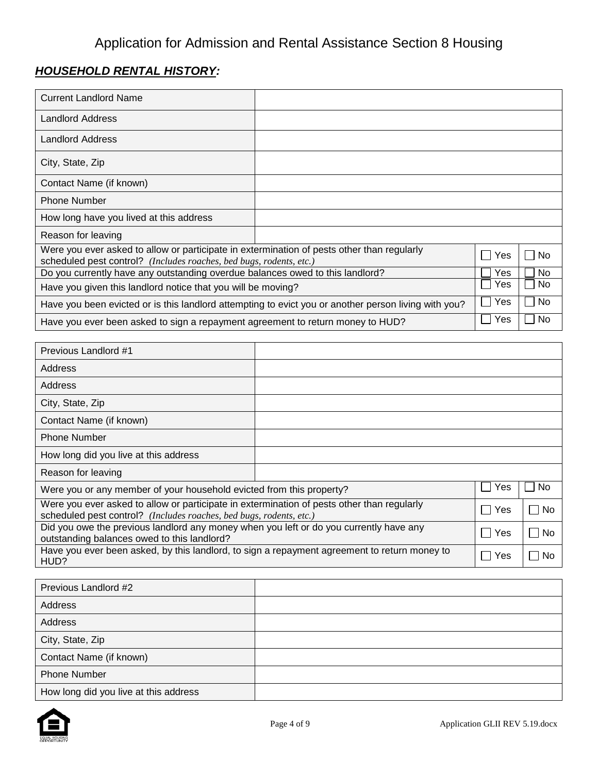# *HOUSEHOLD RENTAL HISTORY:*

| <b>Current Landlord Name</b>                                                                                                                                      |  |     |     |
|-------------------------------------------------------------------------------------------------------------------------------------------------------------------|--|-----|-----|
| <b>Landlord Address</b>                                                                                                                                           |  |     |     |
| <b>Landlord Address</b>                                                                                                                                           |  |     |     |
| City, State, Zip                                                                                                                                                  |  |     |     |
| Contact Name (if known)                                                                                                                                           |  |     |     |
| <b>Phone Number</b>                                                                                                                                               |  |     |     |
| How long have you lived at this address                                                                                                                           |  |     |     |
| Reason for leaving                                                                                                                                                |  |     |     |
| Were you ever asked to allow or participate in extermination of pests other than regularly<br>scheduled pest control? (Includes roaches, bed bugs, rodents, etc.) |  | Yes | No. |
| Do you currently have any outstanding overdue balances owed to this landlord?                                                                                     |  |     | No. |
| Have you given this landlord notice that you will be moving?                                                                                                      |  |     | No  |
| Have you been evicted or is this landlord attempting to evict you or another person living with you?                                                              |  |     | No  |
| Have you ever been asked to sign a repayment agreement to return money to HUD?                                                                                    |  | Yes | No  |

| Previous Landlord #1                                                                                                                                              |  |     |              |
|-------------------------------------------------------------------------------------------------------------------------------------------------------------------|--|-----|--------------|
| Address                                                                                                                                                           |  |     |              |
| Address                                                                                                                                                           |  |     |              |
| City, State, Zip                                                                                                                                                  |  |     |              |
| Contact Name (if known)                                                                                                                                           |  |     |              |
| <b>Phone Number</b>                                                                                                                                               |  |     |              |
| How long did you live at this address                                                                                                                             |  |     |              |
| Reason for leaving                                                                                                                                                |  |     |              |
| Were you or any member of your household evicted from this property?                                                                                              |  | Yes | No.          |
| Were you ever asked to allow or participate in extermination of pests other than regularly<br>scheduled pest control? (Includes roaches, bed bugs, rodents, etc.) |  | Yes | No<br>$\sim$ |
| Did you owe the previous landlord any money when you left or do you currently have any<br>outstanding balances owed to this landlord?                             |  |     | No           |
| Have you ever been asked, by this landlord, to sign a repayment agreement to return money to<br>HUD?                                                              |  | Yes | No           |

| Previous Landlord #2                  |  |
|---------------------------------------|--|
| Address                               |  |
| Address                               |  |
| City, State, Zip                      |  |
| Contact Name (if known)               |  |
| <b>Phone Number</b>                   |  |
| How long did you live at this address |  |

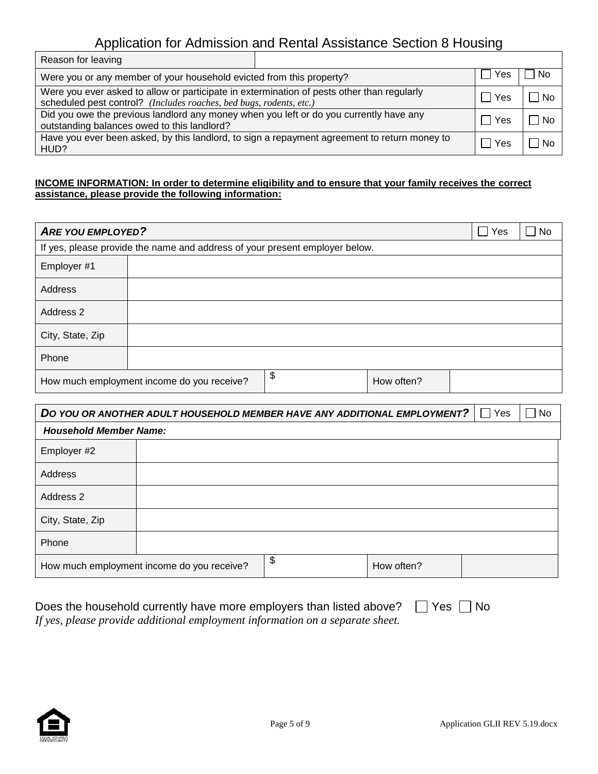| Reason for leaving                                                                                                                                                |     |     |     |
|-------------------------------------------------------------------------------------------------------------------------------------------------------------------|-----|-----|-----|
| Were you or any member of your household evicted from this property?                                                                                              | Yes | No  |     |
| Were you ever asked to allow or participate in extermination of pests other than regularly<br>scheduled pest control? (Includes roaches, bed bugs, rodents, etc.) |     | Yes | No  |
| Did you owe the previous landlord any money when you left or do you currently have any<br>outstanding balances owed to this landlord?                             |     |     | No  |
| Have you ever been asked, by this landlord, to sign a repayment agreement to return money to<br>HUD?                                                              |     | Yes | No. |

#### **INCOME INFORMATION: In order to determine eligibility and to ensure that your family receives the correct assistance, please provide the following information:**

| <b>ARE YOU EMPLOYED?</b> |                                                                             |                  | $\overline{\phantom{a}}$<br>Yes | No |
|--------------------------|-----------------------------------------------------------------------------|------------------|---------------------------------|----|
|                          | If yes, please provide the name and address of your present employer below. |                  |                                 |    |
| Employer #1              |                                                                             |                  |                                 |    |
| <b>Address</b>           |                                                                             |                  |                                 |    |
| Address 2                |                                                                             |                  |                                 |    |
| City, State, Zip         |                                                                             |                  |                                 |    |
| Phone                    |                                                                             |                  |                                 |    |
|                          | How much employment income do you receive?                                  | \$<br>How often? |                                 |    |

| DO YOU OR ANOTHER ADULT HOUSEHOLD MEMBER HAVE ANY ADDITIONAL EMPLOYMENT? | Yes                                        | $\Box$ No        |  |  |
|--------------------------------------------------------------------------|--------------------------------------------|------------------|--|--|
| <b>Household Member Name:</b>                                            |                                            |                  |  |  |
| Employer #2                                                              |                                            |                  |  |  |
| Address                                                                  |                                            |                  |  |  |
| Address 2                                                                |                                            |                  |  |  |
| City, State, Zip                                                         |                                            |                  |  |  |
| Phone                                                                    |                                            |                  |  |  |
|                                                                          | How much employment income do you receive? | \$<br>How often? |  |  |

| Does the household currently have more employers than listed above? $\Box$ Yes $\Box$ No |  |
|------------------------------------------------------------------------------------------|--|
| If yes, please provide additional employment information on a separate sheet.            |  |

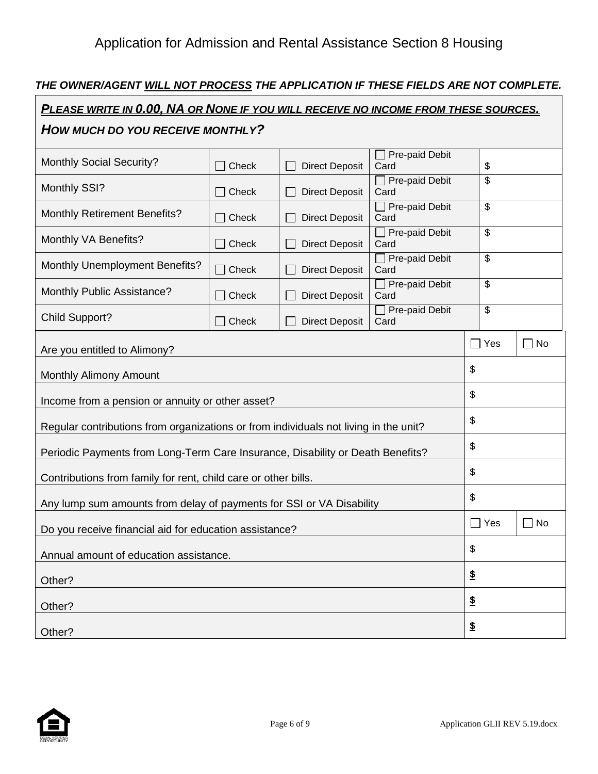## *THE OWNER/AGENT WILL NOT PROCESS THE APPLICATION IF THESE FIELDS ARE NOT COMPLETE.*

| PLEASE WRITE IN 0.00, NA OR NONE IF YOU WILL RECEIVE NO INCOME FROM THESE SOURCES.   |       |                       |                               |                          |              |
|--------------------------------------------------------------------------------------|-------|-----------------------|-------------------------------|--------------------------|--------------|
| HOW MUCH DO YOU RECEIVE MONTHLY?                                                     |       |                       |                               |                          |              |
| <b>Monthly Social Security?</b>                                                      | Check | <b>Direct Deposit</b> | Pre-paid Debit<br>Card        | \$                       |              |
| Monthly SSI?                                                                         | Check | <b>Direct Deposit</b> | Pre-paid Debit<br>Card        | \$                       |              |
| <b>Monthly Retirement Benefits?</b>                                                  | Check | <b>Direct Deposit</b> | Pre-paid Debit<br>Card        | \$                       |              |
| Monthly VA Benefits?                                                                 | Check | <b>Direct Deposit</b> | Pre-paid Debit<br>Card        | \$                       |              |
| <b>Monthly Unemployment Benefits?</b>                                                | Check | <b>Direct Deposit</b> | $\Box$ Pre-paid Debit<br>Card | \$                       |              |
| Monthly Public Assistance?                                                           | Check | <b>Direct Deposit</b> | Pre-paid Debit<br>Card        | \$                       |              |
| <b>Child Support?</b>                                                                | Check | <b>Direct Deposit</b> | Pre-paid Debit<br>Card        | $\overline{\mathcal{S}}$ |              |
| Are you entitled to Alimony?                                                         |       |                       |                               | $\Box$ Yes               | No<br>$\Box$ |
| <b>Monthly Alimony Amount</b>                                                        |       |                       |                               | \$                       |              |
| Income from a pension or annuity or other asset?                                     |       |                       |                               | \$                       |              |
| Regular contributions from organizations or from individuals not living in the unit? |       |                       |                               | \$                       |              |
| Periodic Payments from Long-Term Care Insurance, Disability or Death Benefits?       |       |                       | \$                            |                          |              |
| Contributions from family for rent, child care or other bills.                       |       |                       |                               | \$                       |              |
| Any lump sum amounts from delay of payments for SSI or VA Disability                 |       |                       |                               | \$                       |              |
| Do you receive financial aid for education assistance?                               |       |                       |                               | $\Box$ Yes               | No<br>m.     |
| Annual amount of education assistance.                                               |       |                       |                               | \$                       |              |
| Other?                                                                               |       |                       |                               | $\underline{\$}$         |              |
| Other?                                                                               |       |                       |                               | $\underline{\$}$         |              |
| Other?                                                                               |       |                       |                               | $\boldsymbol{\hat{z}}$   |              |

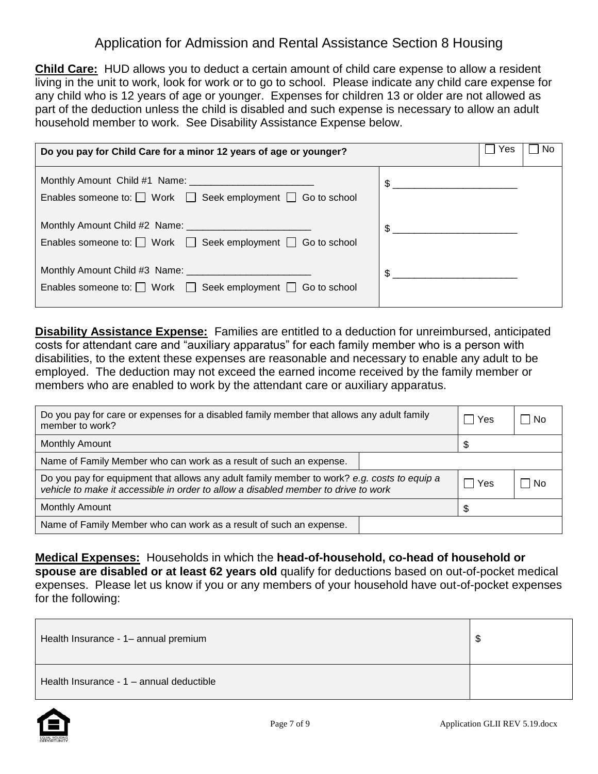**Child Care:** HUD allows you to deduct a certain amount of child care expense to allow a resident living in the unit to work, look for work or to go to school. Please indicate any child care expense for any child who is 12 years of age or younger. Expenses for children 13 or older are not allowed as part of the deduction unless the child is disabled and such expense is necessary to allow an adult household member to work. See Disability Assistance Expense below.

| Do you pay for Child Care for a minor 12 years of age or younger?          | Yes<br>No      |
|----------------------------------------------------------------------------|----------------|
| Enables someone to: $\Box$ Work $\Box$ Seek employment $\Box$ Go to school | $\frac{1}{2}$  |
| Enables someone to: $\Box$ Work $\Box$ Seek employment $\Box$ Go to school | $\frac{1}{2}$  |
| Enables someone to: $\Box$ Work $\Box$ Seek employment $\Box$ Go to school | $\mathfrak{S}$ |

**Disability Assistance Expense:** Families are entitled to a deduction for unreimbursed, anticipated costs for attendant care and "auxiliary apparatus" for each family member who is a person with disabilities, to the extent these expenses are reasonable and necessary to enable any adult to be employed. The deduction may not exceed the earned income received by the family member or members who are enabled to work by the attendant care or auxiliary apparatus.

| Do you pay for care or expenses for a disabled family member that allows any adult family<br>member to work?                                                                      |  | Yes | – I No |  |
|-----------------------------------------------------------------------------------------------------------------------------------------------------------------------------------|--|-----|--------|--|
| <b>Monthly Amount</b>                                                                                                                                                             |  |     |        |  |
| Name of Family Member who can work as a result of such an expense.                                                                                                                |  |     |        |  |
| Do you pay for equipment that allows any adult family member to work? e.g. costs to equip a<br>vehicle to make it accessible in order to allow a disabled member to drive to work |  | Yes | l No   |  |
| Monthly Amount                                                                                                                                                                    |  |     |        |  |
| Name of Family Member who can work as a result of such an expense.                                                                                                                |  |     |        |  |

**Medical Expenses:** Households in which the **head-of-household, co-head of household or spouse are disabled or at least 62 years old** qualify for deductions based on out-of-pocket medical expenses. Please let us know if you or any members of your household have out-of-pocket expenses for the following:

| Health Insurance - 1- annual premium     |  |
|------------------------------------------|--|
| Health Insurance - 1 - annual deductible |  |

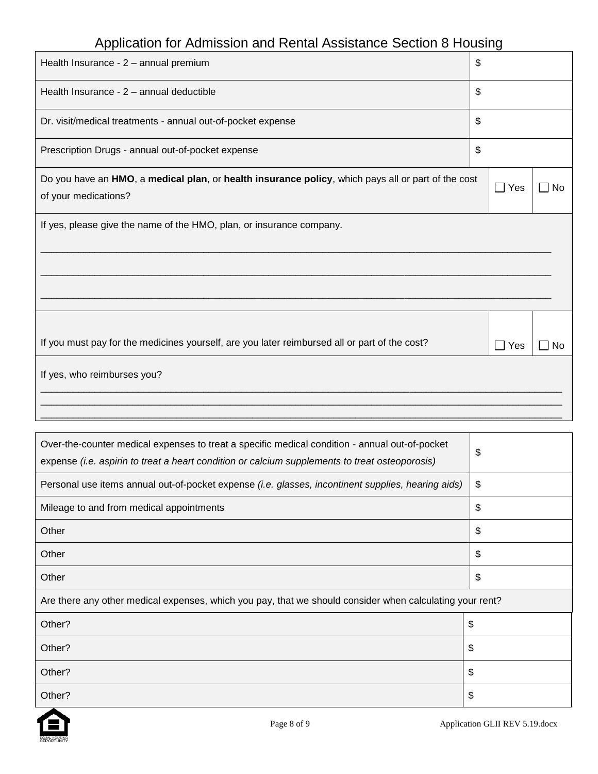| Health Insurance - 2 - annual premium                                                                                      | \$                    |           |
|----------------------------------------------------------------------------------------------------------------------------|-----------------------|-----------|
| Health Insurance - 2 - annual deductible                                                                                   | \$                    |           |
| Dr. visit/medical treatments - annual out-of-pocket expense                                                                | \$                    |           |
| Prescription Drugs - annual out-of-pocket expense                                                                          | \$                    |           |
| Do you have an HMO, a medical plan, or health insurance policy, which pays all or part of the cost<br>of your medications? | $\Box$ Yes            | <b>No</b> |
| If yes, please give the name of the HMO, plan, or insurance company.                                                       |                       |           |
| If you must pay for the medicines yourself, are you later reimbursed all or part of the cost?                              | Yes<br>$\blacksquare$ | No        |
| If yes, who reimburses you?                                                                                                |                       |           |

| Over-the-counter medical expenses to treat a specific medical condition - annual out-of-pocket<br>expense (i.e. aspirin to treat a heart condition or calcium supplements to treat osteoporosis) | \$ |
|--------------------------------------------------------------------------------------------------------------------------------------------------------------------------------------------------|----|
| Personal use items annual out-of-pocket expense (i.e. glasses, incontinent supplies, hearing aids)                                                                                               | \$ |
| Mileage to and from medical appointments                                                                                                                                                         | \$ |
| Other                                                                                                                                                                                            | \$ |
| Other                                                                                                                                                                                            | \$ |
| Other                                                                                                                                                                                            | \$ |
| Are there any other medical expenses, which you pay, that we should consider when calculating your rent?                                                                                         |    |
| Other?                                                                                                                                                                                           | \$ |
| Other?                                                                                                                                                                                           | \$ |
| Other?                                                                                                                                                                                           | \$ |
| Other?                                                                                                                                                                                           | S  |